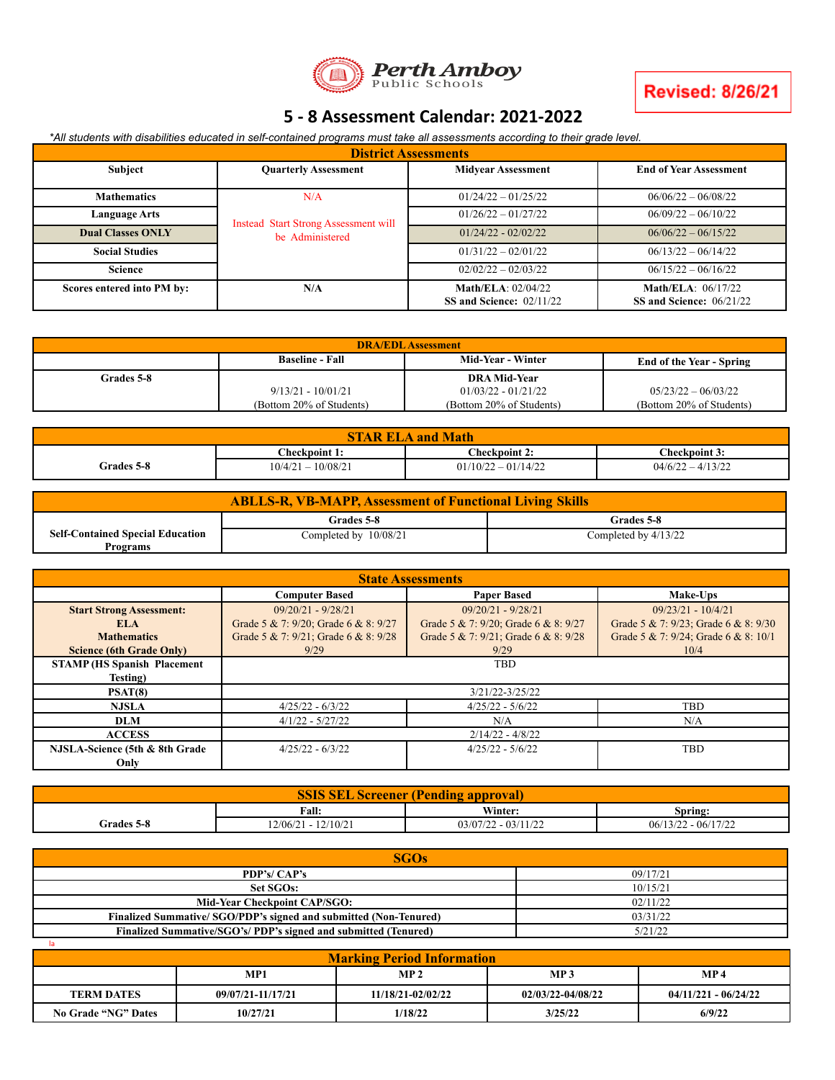

## **5 - 8 Assessment Calendar: 2021-2022**

\*All students with disabilities educated in self-contained programs must take all assessments according to their grade level.

| <b>District Assessments</b>       |                                                                |                                                  |                                                  |  |  |
|-----------------------------------|----------------------------------------------------------------|--------------------------------------------------|--------------------------------------------------|--|--|
| <b>Subject</b>                    | <b>Quarterly Assessment</b>                                    | <b>Midvear Assessment</b>                        | <b>End of Year Assessment</b>                    |  |  |
| <b>Mathematics</b>                | N/A                                                            | $01/24/22 - 01/25/22$                            | $06/06/22 - 06/08/22$                            |  |  |
| Language Arts                     |                                                                | $01/26/22 - 01/27/22$                            | $06/09/22 - 06/10/22$                            |  |  |
| <b>Dual Classes ONLY</b>          | <b>Instead Start Strong Assessment will</b><br>be Administered | $01/24/22 - 02/02/22$                            | $06/06/22 - 06/15/22$                            |  |  |
| <b>Social Studies</b>             |                                                                | $01/31/22 - 02/01/22$                            | $06/13/22 - 06/14/22$                            |  |  |
| <b>Science</b>                    |                                                                | $02/02/22 - 02/03/22$                            | $06/15/22 - 06/16/22$                            |  |  |
| N/A<br>Scores entered into PM by: |                                                                | Math/ELA: $02/04/22$<br>SS and Science: 02/11/22 | Math/ELA: $06/17/22$<br>SS and Science: 06/21/22 |  |  |

| <b>DRA/EDL</b> Assessment                                                             |                          |                          |                          |  |  |
|---------------------------------------------------------------------------------------|--------------------------|--------------------------|--------------------------|--|--|
| <b>Mid-Year - Winter</b><br><b>Baseline - Fall</b><br><b>End of the Year - Spring</b> |                          |                          |                          |  |  |
| <b>Grades 5-8</b>                                                                     |                          | <b>DRA Mid-Year</b>      |                          |  |  |
| $9/13/21 - 10/01/21$                                                                  |                          | $01/03/22 - 01/21/22$    | $05/23/22 - 06/03/22$    |  |  |
|                                                                                       | (Bottom 20% of Students) | (Bottom 20% of Students) | (Bottom 20% of Students) |  |  |

| STAR ELA<br>and Math |                      |                       |                       |  |
|----------------------|----------------------|-----------------------|-----------------------|--|
|                      | Checkpoint 1:        | <b>Checkpoint 2:</b>  | C <b>heckpoint 3:</b> |  |
| <b>Grades 5-8</b>    | $10/4/21 - 10/08/21$ | $01/10/22 - 01/14/22$ | $04/6/22 - 4/13/22$   |  |

| <b>ABLLS-R, VB-MAPP, Assessment of Functional Living Skills</b> |                       |                        |  |  |  |
|-----------------------------------------------------------------|-----------------------|------------------------|--|--|--|
| Grades 5-8<br>Grades 5-8                                        |                       |                        |  |  |  |
| <b>Self-Contained Special Education</b>                         | Completed by 10/08/21 | Completed by $4/13/22$ |  |  |  |
| Programs                                                        |                       |                        |  |  |  |

| <b>State Assessments</b>           |                                                 |                                      |                                      |  |
|------------------------------------|-------------------------------------------------|--------------------------------------|--------------------------------------|--|
|                                    | <b>Computer Based</b>                           | Make-Ups                             |                                      |  |
| <b>Start Strong Assessment:</b>    | $09/20/21 - 9/28/21$                            | $09/20/21 - 9/28/21$                 | $09/23/21 - 10/4/21$                 |  |
| ELA                                | Grade 5 & 7: 9/20; Grade 6 & 8: 9/27            | Grade 5 & 7: 9/20; Grade 6 & 8: 9/27 | Grade 5 & 7: 9/23; Grade 6 & 8: 9/30 |  |
| <b>Mathematics</b>                 | Grade 5 & 7: 9/21; Grade 6 & 8: 9/28            | Grade 5 & 7: 9/21; Grade 6 & 8: 9/28 | Grade 5 & 7: 9/24; Grade 6 & 8: 10/1 |  |
| <b>Science (6th Grade Only)</b>    | 9/29<br>9/29<br>10/4                            |                                      |                                      |  |
| <b>STAMP (HS Spanish Placement</b> | <b>TBD</b>                                      |                                      |                                      |  |
| Testing)                           |                                                 |                                      |                                      |  |
| PSAT(8)                            | 3/21/22-3/25/22                                 |                                      |                                      |  |
| <b>NJSLA</b>                       | $4/25/22 - 6/3/22$<br>$4/25/22 - 5/6/22$<br>TBD |                                      |                                      |  |
| <b>DLM</b>                         | $4/1/22 - 5/27/22$<br>N/A                       |                                      | N/A                                  |  |
| <b>ACCESS</b>                      | $2/14/22 - 4/8/22$                              |                                      |                                      |  |
| NJSLA-Science (5th & 8th Grade     | $4/25/22 - 5/6/22$<br>$4/25/22 - 6/3/22$        |                                      | <b>TBD</b>                           |  |
| Only                               |                                                 |                                      |                                      |  |

| <b>SSIS</b><br><b>SEL</b><br><b>Screener (Pending approval)</b> |                       |                                |                       |  |  |
|-----------------------------------------------------------------|-----------------------|--------------------------------|-----------------------|--|--|
| <b>Fall:</b><br>Winter:<br>Spring:                              |                       |                                |                       |  |  |
| <b>Grades 5-8</b>                                               | $12/06/21 - 12/10/21$ | $03/07/22$ .<br>$2 - 03/11/22$ | $06/13/22 - 06/17/22$ |  |  |

| SGOs                                                                    |          |  |  |  |
|-------------------------------------------------------------------------|----------|--|--|--|
| PDP's/ CAP's                                                            | 09/17/21 |  |  |  |
| Set SGOs:                                                               | 10/15/21 |  |  |  |
| <b>Mid-Year Checkpoint CAP/SGO:</b>                                     | 02/11/22 |  |  |  |
| <b>Finalized Summative/SGO/PDP's signed and submitted (Non-Tenured)</b> | 03/31/22 |  |  |  |
| Finalized Summative/SGO's/ PDP's signed and submitted (Tenured)         | 5/21/22  |  |  |  |

| <b>Marking Period Information</b> |                   |                   |                   |                        |  |
|-----------------------------------|-------------------|-------------------|-------------------|------------------------|--|
|                                   | MP1               | MP <sub>2</sub>   | MP <sub>3</sub>   | MP <sub>4</sub>        |  |
| <b>TERM DATES</b>                 | 09/07/21-11/17/21 | 11/18/21-02/02/22 | 02/03/22-04/08/22 | $04/11/221 - 06/24/22$ |  |
| No Grade "NG" Dates               | 10/27/21          | 1/18/22           | 3/25/22           | 6/9/22                 |  |